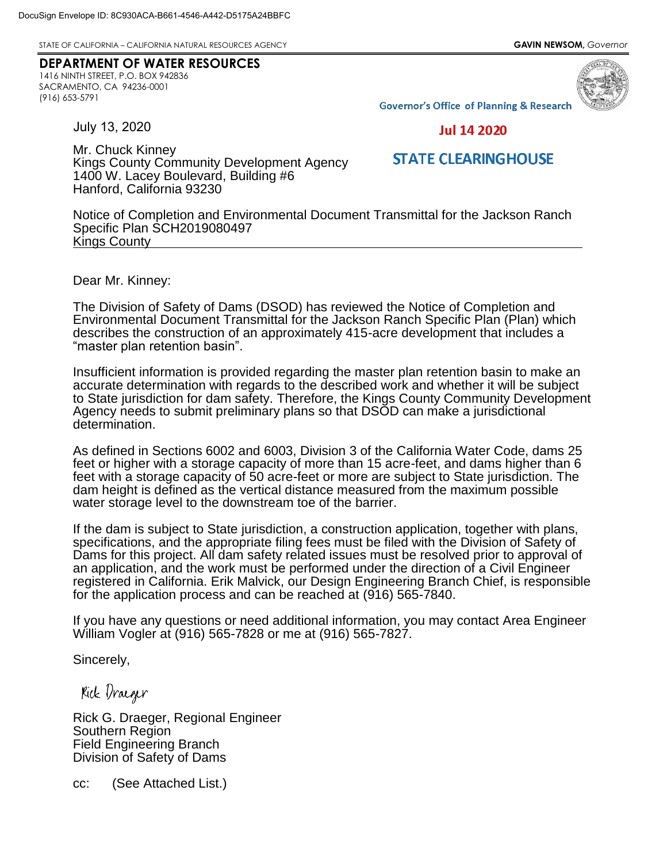STATE OF CALIFORNIA – CALIFORNIA NATURAL RESOURCES AGENCY **GAVIN NEWSOM,** *Governor*

## **DEPARTMENT OF WATER RESOURCES**

1416 NINTH STREET, P.O. BOX 942836 SACRAMENTO, CA 94236-0001 (916) 653-5791



**Governor's Office of Planning & Research** 

July 13, 2020

**Jul 14 2020** 

## **STATE CLEARINGHOUSE**

Mr. Chuck Kinney Kings County Community Development Agency 1400 W. Lacey Boulevard, Building #6 Hanford, California 93230

Notice of Completion and Environmental Document Transmittal for the Jackson Ranch Specific Plan SCH2019080497 Kings County

Dear Mr. Kinney:

The Division of Safety of Dams (DSOD) has reviewed the Notice of Completion and Environmental Document Transmittal for the Jackson Ranch Specific Plan (Plan) which describes the construction of an approximately 415-acre development that includes a "master plan retention basin".

Insufficient information is provided regarding the master plan retention basin to make an accurate determination with regards to the described work and whether it will be subject to State jurisdiction for dam safety. Therefore, the Kings County Community Development Agency needs to submit preliminary plans so that DSOD can make a jurisdictional determination.

As defined in Sections 6002 and 6003, Division 3 of the California Water Code, dams 25 feet or higher with a storage capacity of more than 15 acre-feet, and dams higher than 6 feet with a storage capacity of 50 acre-feet or more are subject to State jurisdiction. The dam height is defined as the vertical distance measured from the maximum possible water storage level to the downstream toe of the barrier.

If the dam is subject to State jurisdiction, a construction application, together with plans, specifications, and the appropriate filing fees must be filed with the Division of Safety of Dams for this project. All dam safety related issues must be resolved prior to approval of an application, and the work must be performed under the direction of a Civil Engineer registered in California. Erik Malvick, our Design Engineering Branch Chief, is responsible for the application process and can be reached at (916) 565-7840.

If you have any questions or need additional information, you may contact Area Engineer William Vogler at (916) 565-7828 or me at (916) 565-7827.

Sincerely,

Kick Draeger

Rick G. Draeger, Regional Engineer Southern Region Field Engineering Branch Division of Safety of Dams

cc: (See Attached List.)